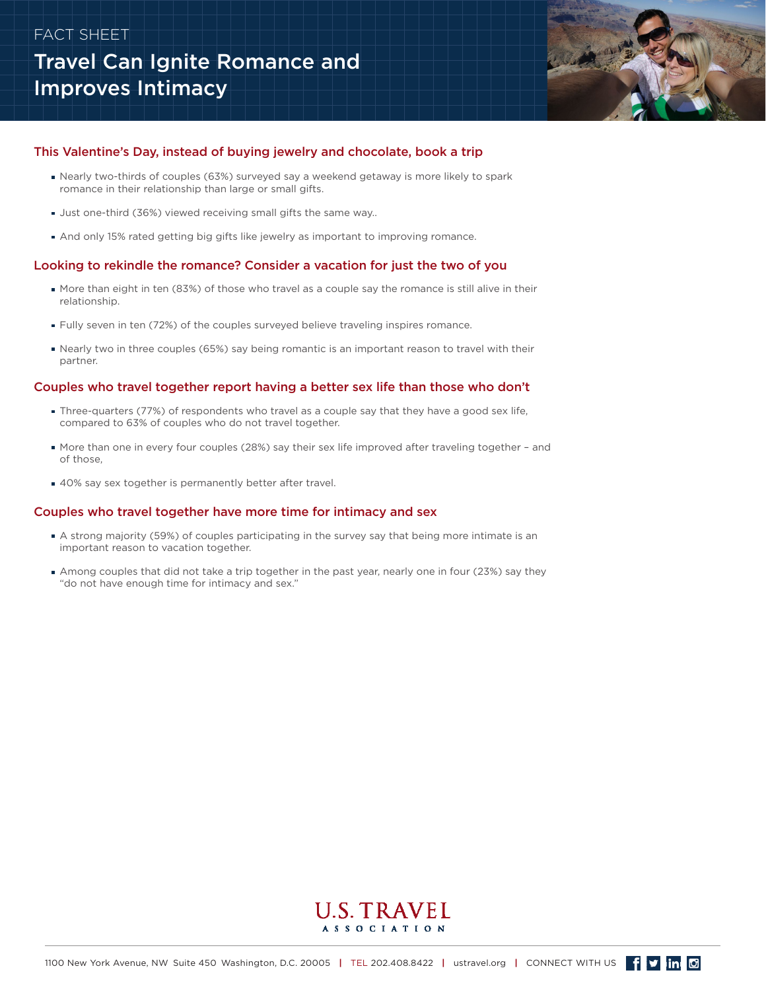## FACT SHEET

# Travel Can Ignite Romance and Improves Intimacy



### This Valentine's Day, instead of buying jewelry and chocolate, book a trip

- Nearly two-thirds of couples (63%) surveyed say a weekend getaway is more likely to spark romance in their relationship than large or small gifts.
- Just one-third (36%) viewed receiving small gifts the same way..
- And only 15% rated getting big gifts like jewelry as important to improving romance.

## Looking to rekindle the romance? Consider a vacation for just the two of you

- More than eight in ten (83%) of those who travel as a couple say the romance is still alive in their relationship.
- **Fully seven in ten (72%) of the couples surveyed believe traveling inspires romance.**
- Nearly two in three couples (65%) say being romantic is an important reason to travel with their partner.

#### Couples who travel together report having a better sex life than those who don't

- Three-quarters (77%) of respondents who travel as a couple say that they have a good sex life, compared to 63% of couples who do not travel together.
- More than one in every four couples (28%) say their sex life improved after traveling together and of those,
- 40% say sex together is permanently better after travel.

#### Couples who travel together have more time for intimacy and sex

- A strong majority (59%) of couples participating in the survey say that being more intimate is an important reason to vacation together.
- Among couples that did not take a trip together in the past year, nearly one in four (23%) say they "do not have enough time for intimacy and sex."